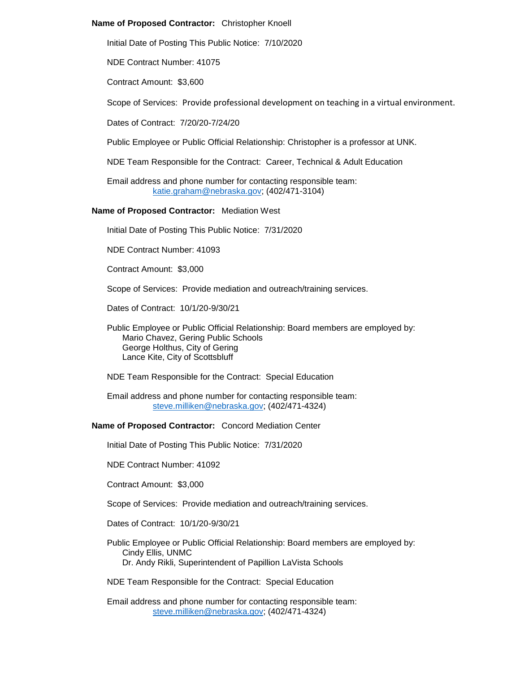## **Name of Proposed Contractor:** Christopher Knoell

Initial Date of Posting This Public Notice: 7/10/2020

NDE Contract Number: 41075

Contract Amount: \$3,600

Scope of Services: Provide professional development on teaching in a virtual environment.

Dates of Contract: 7/20/20-7/24/20

Public Employee or Public Official Relationship: Christopher is a professor at UNK.

NDE Team Responsible for the Contract: Career, Technical & Adult Education

Email address and phone number for contacting responsible team: [katie.graham@nebraska.gov;](mailto:katie.graham@nebraska.gov) (402/471-3104)

### **Name of Proposed Contractor:** Mediation West

Initial Date of Posting This Public Notice: 7/31/2020

NDE Contract Number: 41093

Contract Amount: \$3,000

Scope of Services: Provide mediation and outreach/training services.

Dates of Contract: 10/1/20-9/30/21

Public Employee or Public Official Relationship: Board members are employed by: Mario Chavez, Gering Public Schools George Holthus, City of Gering Lance Kite, City of Scottsbluff

NDE Team Responsible for the Contract: Special Education

Email address and phone number for contacting responsible team: [steve.milliken@nebraska.gov;](mailto:steve.milliken@nebraska.gov) (402/471-4324)

## **Name of Proposed Contractor:** Concord Mediation Center

Initial Date of Posting This Public Notice: 7/31/2020

NDE Contract Number: 41092

Contract Amount: \$3,000

Scope of Services: Provide mediation and outreach/training services.

Dates of Contract: 10/1/20-9/30/21

Public Employee or Public Official Relationship: Board members are employed by: Cindy Ellis, UNMC Dr. Andy Rikli, Superintendent of Papillion LaVista Schools

NDE Team Responsible for the Contract: Special Education

Email address and phone number for contacting responsible team: [steve.milliken@nebraska.gov;](mailto:steve.milliken@nebraska.gov) (402/471-4324)